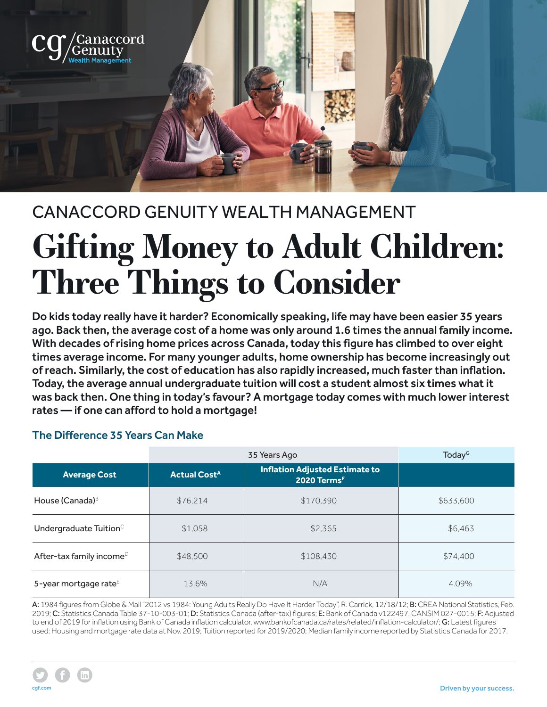

# CANACCORD GENUITY WEALTH MANAGEMENT **Gifting Money to Adult Children: Three Things to Consider**

Do kids today really have it harder? Economically speaking, life may have been easier 35 years ago. Back then, the average cost of a home was only around 1.6 times the annual family income. With decades of rising home prices across Canada, today this figure has climbed to over eight times average income. For many younger adults, home ownership has become increasingly out of reach. Similarly, the cost of education has also rapidly increased, much faster than inflation. Today, the average annual undergraduate tuition will cost a student almost six times what it was back then. One thing in today's favour? A mortgage today comes with much lower interest rates — if one can afford to hold a mortgage!

### The Difference 35 Years Can Make

|                                      | 35 Years Ago                   |                                                                  | Today <sup>G</sup> |
|--------------------------------------|--------------------------------|------------------------------------------------------------------|--------------------|
| <b>Average Cost</b>                  | <b>Actual Cost<sup>A</sup></b> | <b>Inflation Adjusted Estimate to</b><br>2020 Terms <sup>F</sup> |                    |
| House (Canada) <sup>B</sup>          | \$76.214                       | \$170,390                                                        | \$633,600          |
| Undergraduate Tuition <sup>C</sup>   | \$1,058                        | \$2,365                                                          | \$6,463            |
| After-tax family income <sup>D</sup> | \$48,500                       | \$108,430                                                        | \$74,400           |
| 5-year mortgage rate <sup>E</sup>    | 13.6%                          | N/A                                                              | 4.09%              |

A: 1984 figures from Globe & Mail "2012 vs 1984: Young Adults Really Do Have It Harder Today", R. Carrick, 12/18/12; B: CREA National Statistics, Feb. 2019; C: Statistics Canada Table 37-10-003-01; D: Statistics Canada (after-tax) figures; E: Bank of Canada v122497, CANSIM 027-0015; F: Adjusted to end of 2019 for inflation using Bank of Canada inflation calculator, www.bankofcanada.ca/rates/related/inflation-calculator/; G: Latest figures used: Housing and mortgage rate data at Nov. 2019; Tuition reported for 2019/2020; Median family income reported by Statistics Canada for 2017.